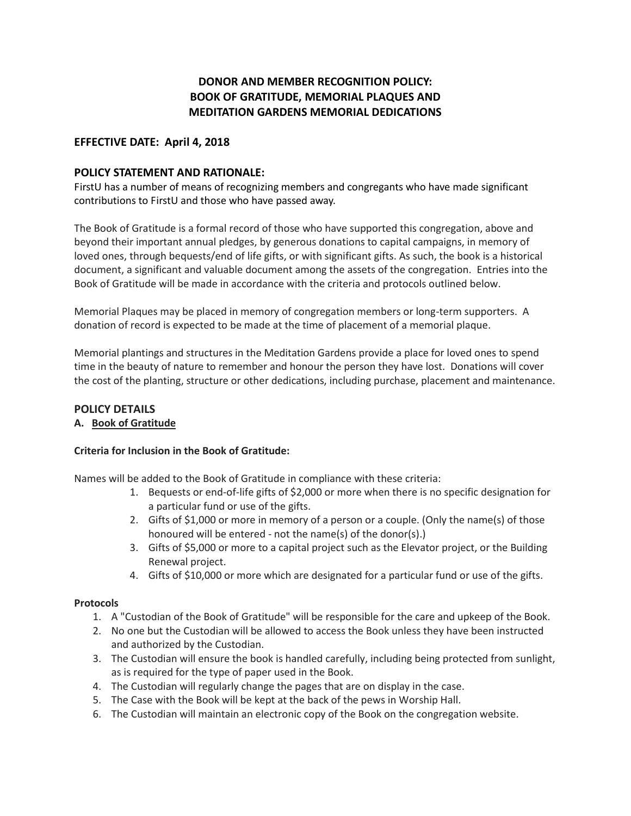# **DONOR AND MEMBER RECOGNITION POLICY: BOOK OF GRATITUDE, MEMORIAL PLAQUES AND MEDITATION GARDENS MEMORIAL DEDICATIONS**

## **EFFECTIVE DATE: April 4, 2018**

## **POLICY STATEMENT AND RATIONALE:**

FirstU has a number of means of recognizing members and congregants who have made significant contributions to FirstU and those who have passed away.

The Book of Gratitude is a formal record of those who have supported this congregation, above and beyond their important annual pledges, by generous donations to capital campaigns, in memory of loved ones, through bequests/end of life gifts, or with significant gifts. As such, the book is a historical document, a significant and valuable document among the assets of the congregation. Entries into the Book of Gratitude will be made in accordance with the criteria and protocols outlined below.

Memorial Plaques may be placed in memory of congregation members or long-term supporters. A donation of record is expected to be made at the time of placement of a memorial plaque.

Memorial plantings and structures in the Meditation Gardens provide a place for loved ones to spend time in the beauty of nature to remember and honour the person they have lost. Donations will cover the cost of the planting, structure or other dedications, including purchase, placement and maintenance.

## **POLICY DETAILS**

### **A. Book of Gratitude**

### **Criteria for Inclusion in the Book of Gratitude:**

Names will be added to the Book of Gratitude in compliance with these criteria:

- 1. Bequests or end-of-life gifts of \$2,000 or more when there is no specific designation for a particular fund or use of the gifts.
- 2. Gifts of \$1,000 or more in memory of a person or a couple. (Only the name(s) of those honoured will be entered - not the name(s) of the donor(s).)
- 3. Gifts of \$5,000 or more to a capital project such as the Elevator project, or the Building Renewal project.
- 4. Gifts of \$10,000 or more which are designated for a particular fund or use of the gifts.

### **Protocols**

- 1. A "Custodian of the Book of Gratitude" will be responsible for the care and upkeep of the Book.
- 2. No one but the Custodian will be allowed to access the Book unless they have been instructed and authorized by the Custodian.
- 3. The Custodian will ensure the book is handled carefully, including being protected from sunlight, as is required for the type of paper used in the Book.
- 4. The Custodian will regularly change the pages that are on display in the case.
- 5. The Case with the Book will be kept at the back of the pews in Worship Hall.
- 6. The Custodian will maintain an electronic copy of the Book on the congregation website.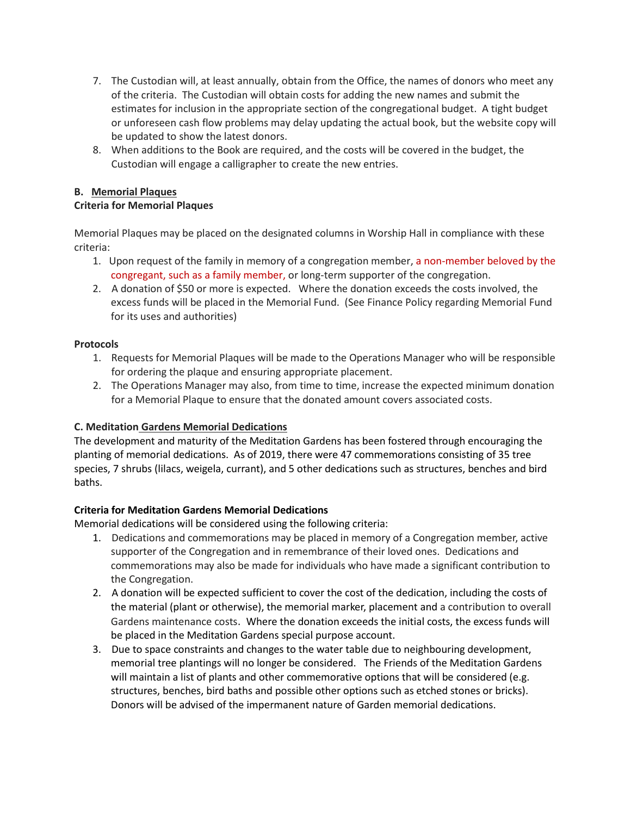- 7. The Custodian will, at least annually, obtain from the Office, the names of donors who meet any of the criteria. The Custodian will obtain costs for adding the new names and submit the estimates for inclusion in the appropriate section of the congregational budget. A tight budget or unforeseen cash flow problems may delay updating the actual book, but the website copy will be updated to show the latest donors.
- 8. When additions to the Book are required, and the costs will be covered in the budget, the Custodian will engage a calligrapher to create the new entries.

### **B. Memorial Plaques**

### **Criteria for Memorial Plaques**

Memorial Plaques may be placed on the designated columns in Worship Hall in compliance with these criteria:

- 1. Upon request of the family in memory of a congregation member, a non-member beloved by the congregant, such as a family member, or long-term supporter of the congregation.
- 2. A donation of \$50 or more is expected. Where the donation exceeds the costs involved, the excess funds will be placed in the Memorial Fund. (See Finance Policy regarding Memorial Fund for its uses and authorities)

### **Protocols**

- 1. Requests for Memorial Plaques will be made to the Operations Manager who will be responsible for ordering the plaque and ensuring appropriate placement.
- 2. The Operations Manager may also, from time to time, increase the expected minimum donation for a Memorial Plaque to ensure that the donated amount covers associated costs.

### **C. Meditation Gardens Memorial Dedications**

The development and maturity of the Meditation Gardens has been fostered through encouraging the planting of memorial dedications. As of 2019, there were 47 commemorations consisting of 35 tree species, 7 shrubs (lilacs, weigela, currant), and 5 other dedications such as structures, benches and bird baths.

### **Criteria for Meditation Gardens Memorial Dedications**

Memorial dedications will be considered using the following criteria:

- 1. Dedications and commemorations may be placed in memory of a Congregation member, active supporter of the Congregation and in remembrance of their loved ones. Dedications and commemorations may also be made for individuals who have made a significant contribution to the Congregation.
- 2. A donation will be expected sufficient to cover the cost of the dedication, including the costs of the material (plant or otherwise), the memorial marker, placement and a contribution to overall Gardens maintenance costs. Where the donation exceeds the initial costs, the excess funds will be placed in the Meditation Gardens special purpose account.
- 3. Due to space constraints and changes to the water table due to neighbouring development, memorial tree plantings will no longer be considered. The Friends of the Meditation Gardens will maintain a list of plants and other commemorative options that will be considered (e.g. structures, benches, bird baths and possible other options such as etched stones or bricks). Donors will be advised of the impermanent nature of Garden memorial dedications.